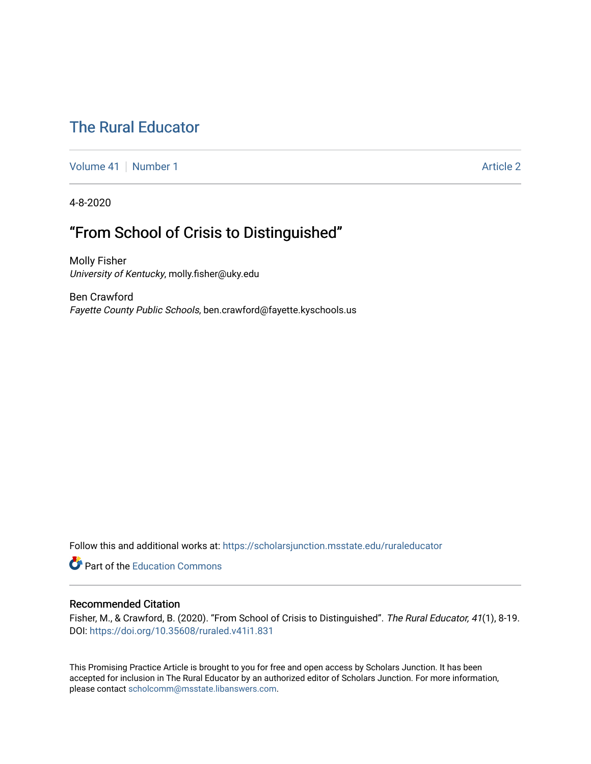# [The Rural Educator](https://scholarsjunction.msstate.edu/ruraleducator)

[Volume 41](https://scholarsjunction.msstate.edu/ruraleducator/vol41) [Number 1](https://scholarsjunction.msstate.edu/ruraleducator/vol41/iss1) Article 2

4-8-2020

## "From School of Crisis to Distinguished"

Molly Fisher University of Kentucky, molly.fisher@uky.edu

Ben Crawford Fayette County Public Schools, ben.crawford@fayette.kyschools.us

Follow this and additional works at: [https://scholarsjunction.msstate.edu/ruraleducator](https://scholarsjunction.msstate.edu/ruraleducator?utm_source=scholarsjunction.msstate.edu%2Fruraleducator%2Fvol41%2Fiss1%2F2&utm_medium=PDF&utm_campaign=PDFCoverPages)

**C** Part of the [Education Commons](http://network.bepress.com/hgg/discipline/784?utm_source=scholarsjunction.msstate.edu%2Fruraleducator%2Fvol41%2Fiss1%2F2&utm_medium=PDF&utm_campaign=PDFCoverPages)

## Recommended Citation

Fisher, M., & Crawford, B. (2020). "From School of Crisis to Distinguished". The Rural Educator, 41(1), 8-19. DOI:<https://doi.org/10.35608/ruraled.v41i1.831>

This Promising Practice Article is brought to you for free and open access by Scholars Junction. It has been accepted for inclusion in The Rural Educator by an authorized editor of Scholars Junction. For more information, please contact [scholcomm@msstate.libanswers.com.](mailto:scholcomm@msstate.libanswers.com)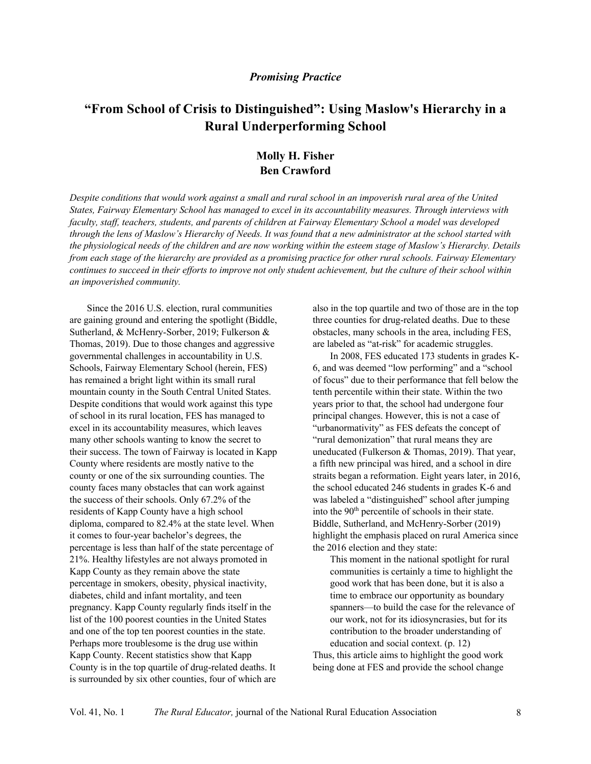## *Promising Practice*

## **"From School of Crisis to Distinguished": Using Maslow's Hierarchy in a Rural Underperforming School**

## **Molly H. Fisher Ben Crawford**

*Despite conditions that would work against a small and rural school in an impoverish rural area of the United States, Fairway Elementary School has managed to excel in its accountability measures. Through interviews with faculty, staff, teachers, students, and parents of children at Fairway Elementary School a model was developed through the lens of Maslow's Hierarchy of Needs. It was found that a new administrator at the school started with the physiological needs of the children and are now working within the esteem stage of Maslow's Hierarchy. Details from each stage of the hierarchy are provided as a promising practice for other rural schools. Fairway Elementary continues to succeed in their efforts to improve not only student achievement, but the culture of their school within an impoverished community.*

Since the 2016 U.S. election, rural communities are gaining ground and entering the spotlight (Biddle, Sutherland, & McHenry-Sorber, 2019; Fulkerson & Thomas, 2019). Due to those changes and aggressive governmental challenges in accountability in U.S. Schools, Fairway Elementary School (herein, FES) has remained a bright light within its small rural mountain county in the South Central United States. Despite conditions that would work against this type of school in its rural location, FES has managed to excel in its accountability measures, which leaves many other schools wanting to know the secret to their success. The town of Fairway is located in Kapp County where residents are mostly native to the county or one of the six surrounding counties. The county faces many obstacles that can work against the success of their schools. Only 67.2% of the residents of Kapp County have a high school diploma, compared to 82.4% at the state level. When it comes to four-year bachelor's degrees, the percentage is less than half of the state percentage of 21%. Healthy lifestyles are not always promoted in Kapp County as they remain above the state percentage in smokers, obesity, physical inactivity, diabetes, child and infant mortality, and teen pregnancy. Kapp County regularly finds itself in the list of the 100 poorest counties in the United States and one of the top ten poorest counties in the state. Perhaps more troublesome is the drug use within Kapp County. Recent statistics show that Kapp County is in the top quartile of drug-related deaths. It is surrounded by six other counties, four of which are

also in the top quartile and two of those are in the top three counties for drug-related deaths. Due to these obstacles, many schools in the area, including FES, are labeled as "at-risk" for academic struggles.

In 2008, FES educated 173 students in grades K-6, and was deemed "low performing" and a "school of focus" due to their performance that fell below the tenth percentile within their state. Within the two years prior to that, the school had undergone four principal changes. However, this is not a case of "urbanormativity" as FES defeats the concept of "rural demonization" that rural means they are uneducated (Fulkerson & Thomas, 2019). That year, a fifth new principal was hired, and a school in dire straits began a reformation. Eight years later, in 2016, the school educated 246 students in grades K-6 and was labeled a "distinguished" school after jumping into the 90<sup>th</sup> percentile of schools in their state. Biddle, Sutherland, and McHenry-Sorber (2019) highlight the emphasis placed on rural America since the 2016 election and they state:

This moment in the national spotlight for rural communities is certainly a time to highlight the good work that has been done, but it is also a time to embrace our opportunity as boundary spanners—to build the case for the relevance of our work, not for its idiosyncrasies, but for its contribution to the broader understanding of education and social context. (p. 12) Thus, this article aims to highlight the good work

being done at FES and provide the school change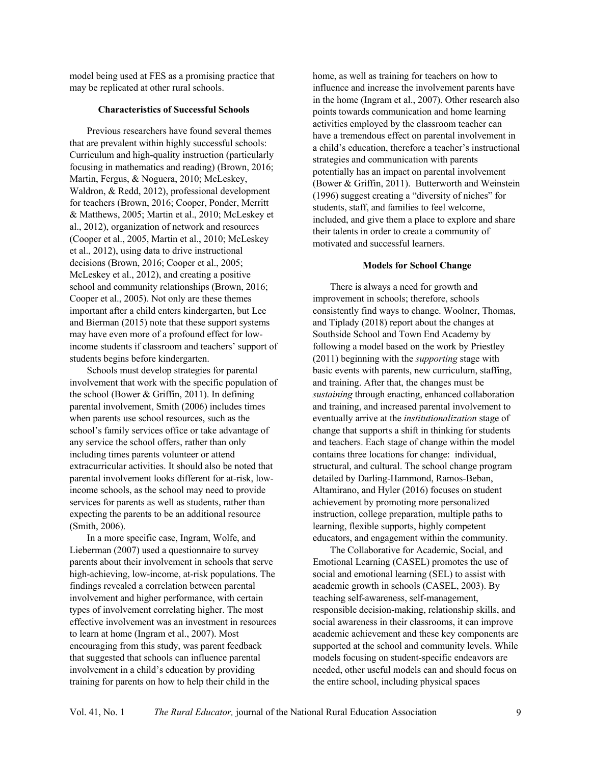model being used at FES as a promising practice that may be replicated at other rural schools.

#### **Characteristics of Successful Schools**

Previous researchers have found several themes that are prevalent within highly successful schools: Curriculum and high-quality instruction (particularly focusing in mathematics and reading) (Brown, 2016; Martin, Fergus, & Noguera, 2010; McLeskey, Waldron, & Redd, 2012), professional development for teachers (Brown, 2016; Cooper, Ponder, Merritt & Matthews, 2005; Martin et al., 2010; McLeskey et al., 2012), organization of network and resources (Cooper et al., 2005, Martin et al., 2010; McLeskey et al., 2012), using data to drive instructional decisions (Brown, 2016; Cooper et al., 2005; McLeskey et al., 2012), and creating a positive school and community relationships (Brown, 2016; Cooper et al., 2005). Not only are these themes important after a child enters kindergarten, but Lee and Bierman (2015) note that these support systems may have even more of a profound effect for lowincome students if classroom and teachers' support of students begins before kindergarten.

Schools must develop strategies for parental involvement that work with the specific population of the school (Bower & Griffin, 2011). In defining parental involvement, Smith (2006) includes times when parents use school resources, such as the school's family services office or take advantage of any service the school offers, rather than only including times parents volunteer or attend extracurricular activities. It should also be noted that parental involvement looks different for at-risk, lowincome schools, as the school may need to provide services for parents as well as students, rather than expecting the parents to be an additional resource (Smith, 2006).

In a more specific case, Ingram, Wolfe, and Lieberman (2007) used a questionnaire to survey parents about their involvement in schools that serve high-achieving, low-income, at-risk populations. The findings revealed a correlation between parental involvement and higher performance, with certain types of involvement correlating higher. The most effective involvement was an investment in resources to learn at home (Ingram et al., 2007). Most encouraging from this study, was parent feedback that suggested that schools can influence parental involvement in a child's education by providing training for parents on how to help their child in the

home, as well as training for teachers on how to influence and increase the involvement parents have in the home (Ingram et al., 2007). Other research also points towards communication and home learning activities employed by the classroom teacher can have a tremendous effect on parental involvement in a child's education, therefore a teacher's instructional strategies and communication with parents potentially has an impact on parental involvement (Bower & Griffin, 2011). Butterworth and Weinstein (1996) suggest creating a "diversity of niches" for students, staff, and families to feel welcome, included, and give them a place to explore and share their talents in order to create a community of motivated and successful learners.

#### **Models for School Change**

There is always a need for growth and improvement in schools; therefore, schools consistently find ways to change. Woolner, Thomas, and Tiplady (2018) report about the changes at Southside School and Town End Academy by following a model based on the work by Priestley (2011) beginning with the *supporting* stage with basic events with parents, new curriculum, staffing, and training. After that, the changes must be *sustaining* through enacting, enhanced collaboration and training, and increased parental involvement to eventually arrive at the *institutionalization* stage of change that supports a shift in thinking for students and teachers. Each stage of change within the model contains three locations for change: individual, structural, and cultural. The school change program detailed by Darling-Hammond, Ramos-Beban, Altamirano, and Hyler (2016) focuses on student achievement by promoting more personalized instruction, college preparation, multiple paths to learning, flexible supports, highly competent educators, and engagement within the community.

The Collaborative for Academic, Social, and Emotional Learning (CASEL) promotes the use of social and emotional learning (SEL) to assist with academic growth in schools (CASEL, 2003). By teaching self-awareness, self-management, responsible decision-making, relationship skills, and social awareness in their classrooms, it can improve academic achievement and these key components are supported at the school and community levels. While models focusing on student-specific endeavors are needed, other useful models can and should focus on the entire school, including physical spaces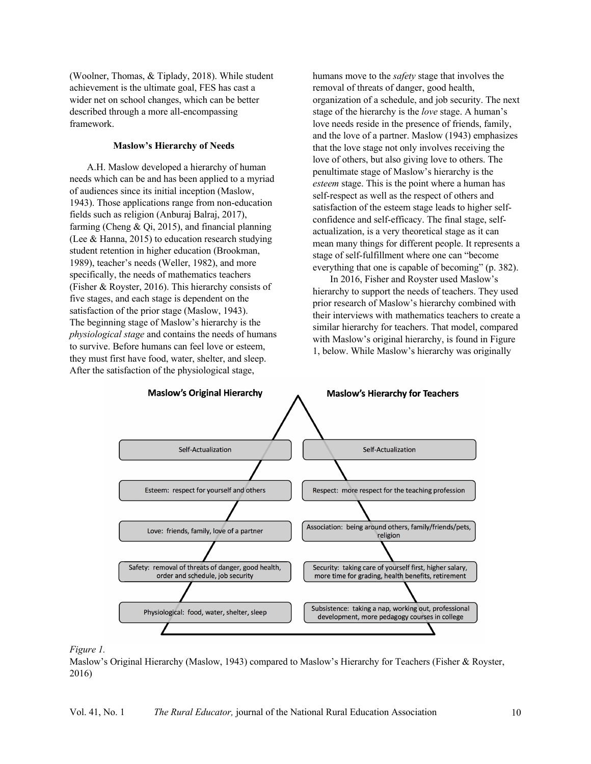(Woolner, Thomas, & Tiplady, 2018). While student achievement is the ultimate goal, FES has cast a wider net on school changes, which can be better described through a more all-encompassing framework.

#### **Maslow's Hierarchy of Needs**

A.H. Maslow developed a hierarchy of human needs which can be and has been applied to a myriad of audiences since its initial inception (Maslow, 1943). Those applications range from non-education fields such as religion (Anburaj Balraj, 2017), farming (Cheng & Qi, 2015), and financial planning (Lee & Hanna, 2015) to education research studying student retention in higher education (Brookman, 1989), teacher's needs (Weller, 1982), and more specifically, the needs of mathematics teachers (Fisher & Royster, 2016). This hierarchy consists of five stages, and each stage is dependent on the satisfaction of the prior stage (Maslow, 1943). The beginning stage of Maslow's hierarchy is the *physiological stage* and contains the needs of humans to survive. Before humans can feel love or esteem, they must first have food, water, shelter, and sleep. After the satisfaction of the physiological stage,

humans move to the *safety* stage that involves the removal of threats of danger, good health, organization of a schedule, and job security. The next stage of the hierarchy is the *love* stage. A human's love needs reside in the presence of friends, family, and the love of a partner. Maslow (1943) emphasizes that the love stage not only involves receiving the love of others, but also giving love to others. The penultimate stage of Maslow's hierarchy is the *esteem* stage. This is the point where a human has self-respect as well as the respect of others and satisfaction of the esteem stage leads to higher selfconfidence and self-efficacy. The final stage, selfactualization, is a very theoretical stage as it can mean many things for different people. It represents a stage of self-fulfillment where one can "become everything that one is capable of becoming" (p. 382).

In 2016, Fisher and Royster used Maslow's hierarchy to support the needs of teachers. They used prior research of Maslow's hierarchy combined with their interviews with mathematics teachers to create a similar hierarchy for teachers. That model, compared with Maslow's original hierarchy, is found in Figure 1, below. While Maslow's hierarchy was originally



#### *Figure 1.*

Maslow's Original Hierarchy (Maslow, 1943) compared to Maslow's Hierarchy for Teachers (Fisher & Royster, 2016)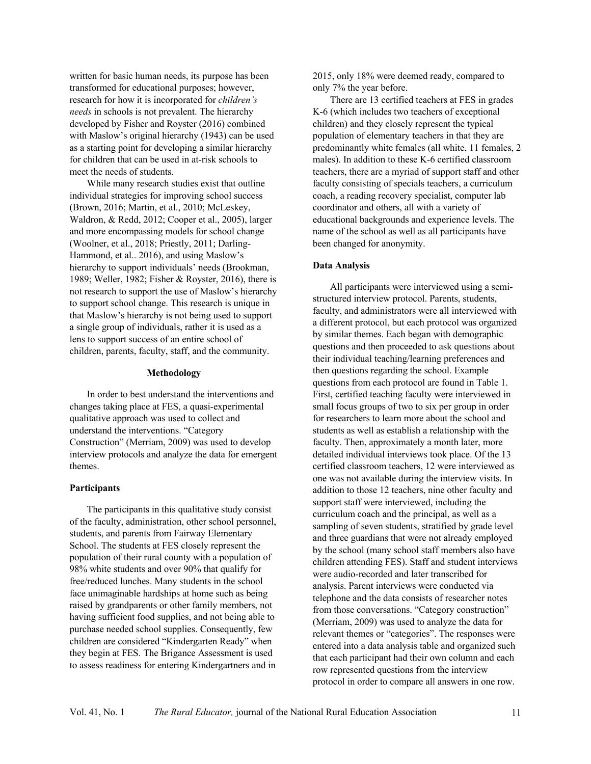written for basic human needs, its purpose has been transformed for educational purposes; however, research for how it is incorporated for *children's needs* in schools is not prevalent. The hierarchy developed by Fisher and Royster (2016) combined with Maslow's original hierarchy (1943) can be used as a starting point for developing a similar hierarchy for children that can be used in at-risk schools to meet the needs of students.

While many research studies exist that outline individual strategies for improving school success (Brown, 2016; Martin, et al., 2010; McLeskey, Waldron, & Redd, 2012; Cooper et al., 2005), larger and more encompassing models for school change (Woolner, et al., 2018; Priestly, 2011; Darling-Hammond, et al.. 2016), and using Maslow's hierarchy to support individuals' needs (Brookman, 1989; Weller, 1982; Fisher & Royster, 2016), there is not research to support the use of Maslow's hierarchy to support school change. This research is unique in that Maslow's hierarchy is not being used to support a single group of individuals, rather it is used as a lens to support success of an entire school of children, parents, faculty, staff, and the community.

#### **Methodology**

In order to best understand the interventions and changes taking place at FES, a quasi-experimental qualitative approach was used to collect and understand the interventions. "Category Construction" (Merriam, 2009) was used to develop interview protocols and analyze the data for emergent themes.

#### **Participants**

The participants in this qualitative study consist of the faculty, administration, other school personnel, students, and parents from Fairway Elementary School. The students at FES closely represent the population of their rural county with a population of 98% white students and over 90% that qualify for free/reduced lunches. Many students in the school face unimaginable hardships at home such as being raised by grandparents or other family members, not having sufficient food supplies, and not being able to purchase needed school supplies. Consequently, few children are considered "Kindergarten Ready" when they begin at FES. The Brigance Assessment is used to assess readiness for entering Kindergartners and in

2015, only 18% were deemed ready, compared to only 7% the year before.

There are 13 certified teachers at FES in grades K-6 (which includes two teachers of exceptional children) and they closely represent the typical population of elementary teachers in that they are predominantly white females (all white, 11 females, 2 males). In addition to these K-6 certified classroom teachers, there are a myriad of support staff and other faculty consisting of specials teachers, a curriculum coach, a reading recovery specialist, computer lab coordinator and others, all with a variety of educational backgrounds and experience levels. The name of the school as well as all participants have been changed for anonymity.

#### **Data Analysis**

All participants were interviewed using a semistructured interview protocol. Parents, students, faculty, and administrators were all interviewed with a different protocol, but each protocol was organized by similar themes. Each began with demographic questions and then proceeded to ask questions about their individual teaching/learning preferences and then questions regarding the school. Example questions from each protocol are found in Table 1. First, certified teaching faculty were interviewed in small focus groups of two to six per group in order for researchers to learn more about the school and students as well as establish a relationship with the faculty. Then, approximately a month later, more detailed individual interviews took place. Of the 13 certified classroom teachers, 12 were interviewed as one was not available during the interview visits. In addition to those 12 teachers, nine other faculty and support staff were interviewed, including the curriculum coach and the principal, as well as a sampling of seven students, stratified by grade level and three guardians that were not already employed by the school (many school staff members also have children attending FES). Staff and student interviews were audio-recorded and later transcribed for analysis. Parent interviews were conducted via telephone and the data consists of researcher notes from those conversations. "Category construction" (Merriam, 2009) was used to analyze the data for relevant themes or "categories". The responses were entered into a data analysis table and organized such that each participant had their own column and each row represented questions from the interview protocol in order to compare all answers in one row.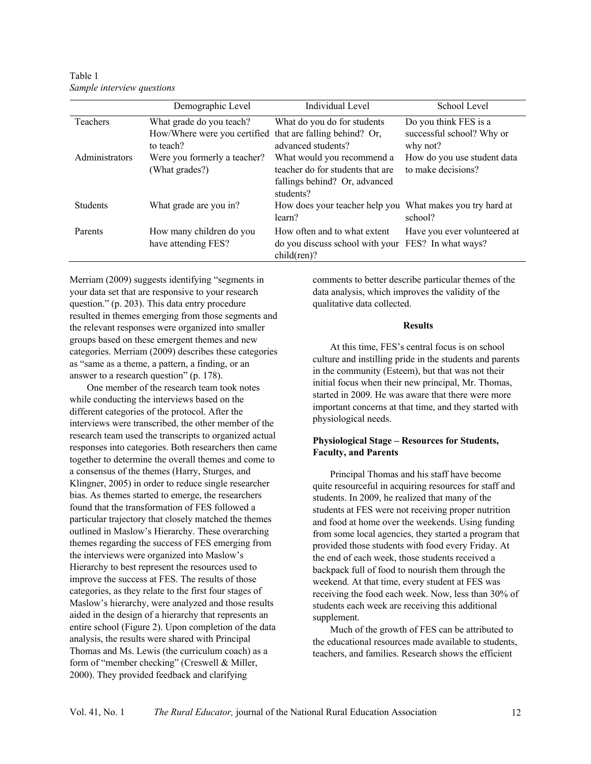Table 1 *Sample interview questions*

|                 | Demographic Level                                                      | Individual Level                                                                                             | School Level                                      |
|-----------------|------------------------------------------------------------------------|--------------------------------------------------------------------------------------------------------------|---------------------------------------------------|
| Teachers        | What grade do you teach?                                               | What do you do for students                                                                                  | Do you think FES is a                             |
|                 | How/Where were you certified that are falling behind? Or,<br>to teach? | advanced students?                                                                                           | successful school? Why or<br>why not?             |
| Administrators  | Were you formerly a teacher?<br>(What grades?)                         | What would you recommend a<br>teacher do for students that are<br>fallings behind? Or, advanced<br>students? | How do you use student data<br>to make decisions? |
| <b>Students</b> | What grade are you in?                                                 | How does your teacher help you What makes you try hard at<br>learn?                                          | school?                                           |
| Parents         | How many children do you<br>have attending FES?                        | How often and to what extent<br>do you discuss school with your FES? In what ways?<br>$child(ren)$ ?         | Have you ever volunteered at                      |

Merriam (2009) suggests identifying "segments in your data set that are responsive to your research question." (p. 203). This data entry procedure resulted in themes emerging from those segments and the relevant responses were organized into smaller groups based on these emergent themes and new categories. Merriam (2009) describes these categories as "same as a theme, a pattern, a finding, or an answer to a research question" (p. 178).

One member of the research team took notes while conducting the interviews based on the different categories of the protocol. After the interviews were transcribed, the other member of the research team used the transcripts to organized actual responses into categories. Both researchers then came together to determine the overall themes and come to a consensus of the themes (Harry, Sturges, and Klingner, 2005) in order to reduce single researcher bias. As themes started to emerge, the researchers found that the transformation of FES followed a particular trajectory that closely matched the themes outlined in Maslow's Hierarchy. These overarching themes regarding the success of FES emerging from the interviews were organized into Maslow's Hierarchy to best represent the resources used to improve the success at FES. The results of those categories, as they relate to the first four stages of Maslow's hierarchy, were analyzed and those results aided in the design of a hierarchy that represents an entire school (Figure 2). Upon completion of the data analysis, the results were shared with Principal Thomas and Ms. Lewis (the curriculum coach) as a form of "member checking" (Creswell & Miller, 2000). They provided feedback and clarifying

comments to better describe particular themes of the data analysis, which improves the validity of the qualitative data collected.

#### **Results**

At this time, FES's central focus is on school culture and instilling pride in the students and parents in the community (Esteem), but that was not their initial focus when their new principal, Mr. Thomas, started in 2009. He was aware that there were more important concerns at that time, and they started with physiological needs.

## **Physiological Stage – Resources for Students, Faculty, and Parents**

Principal Thomas and his staff have become quite resourceful in acquiring resources for staff and students. In 2009, he realized that many of the students at FES were not receiving proper nutrition and food at home over the weekends. Using funding from some local agencies, they started a program that provided those students with food every Friday. At the end of each week, those students received a backpack full of food to nourish them through the weekend. At that time, every student at FES was receiving the food each week. Now, less than 30% of students each week are receiving this additional supplement.

Much of the growth of FES can be attributed to the educational resources made available to students, teachers, and families. Research shows the efficient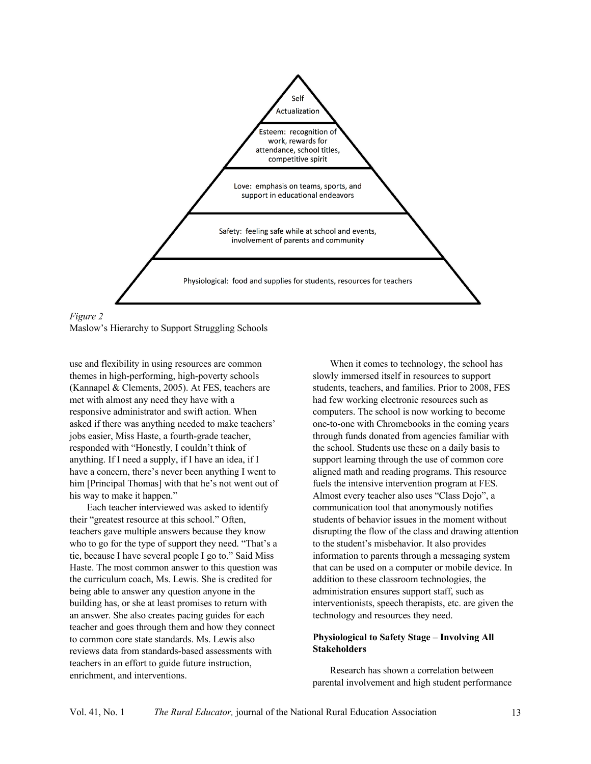

*Figure 2* Maslow's Hierarchy to Support Struggling Schools

use and flexibility in using resources are common themes in high-performing, high-poverty schools (Kannapel & Clements, 2005). At FES, teachers are met with almost any need they have with a responsive administrator and swift action. When asked if there was anything needed to make teachers' jobs easier, Miss Haste, a fourth-grade teacher, responded with "Honestly, I couldn't think of anything. If I need a supply, if I have an idea, if I have a concern, there's never been anything I went to him [Principal Thomas] with that he's not went out of his way to make it happen."

Each teacher interviewed was asked to identify their "greatest resource at this school." Often, teachers gave multiple answers because they know who to go for the type of support they need. "That's a tie, because I have several people I go to." Said Miss Haste. The most common answer to this question was the curriculum coach, Ms. Lewis. She is credited for being able to answer any question anyone in the building has, or she at least promises to return with an answer. She also creates pacing guides for each teacher and goes through them and how they connect to common core state standards. Ms. Lewis also reviews data from standards-based assessments with teachers in an effort to guide future instruction, enrichment, and interventions.

When it comes to technology, the school has slowly immersed itself in resources to support students, teachers, and families. Prior to 2008, FES had few working electronic resources such as computers. The school is now working to become one-to-one with Chromebooks in the coming years through funds donated from agencies familiar with the school. Students use these on a daily basis to support learning through the use of common core aligned math and reading programs. This resource fuels the intensive intervention program at FES. Almost every teacher also uses "Class Dojo", a communication tool that anonymously notifies students of behavior issues in the moment without disrupting the flow of the class and drawing attention to the student's misbehavior. It also provides information to parents through a messaging system that can be used on a computer or mobile device. In addition to these classroom technologies, the administration ensures support staff, such as interventionists, speech therapists, etc. are given the technology and resources they need.

## **Physiological to Safety Stage – Involving All Stakeholders**

Research has shown a correlation between parental involvement and high student performance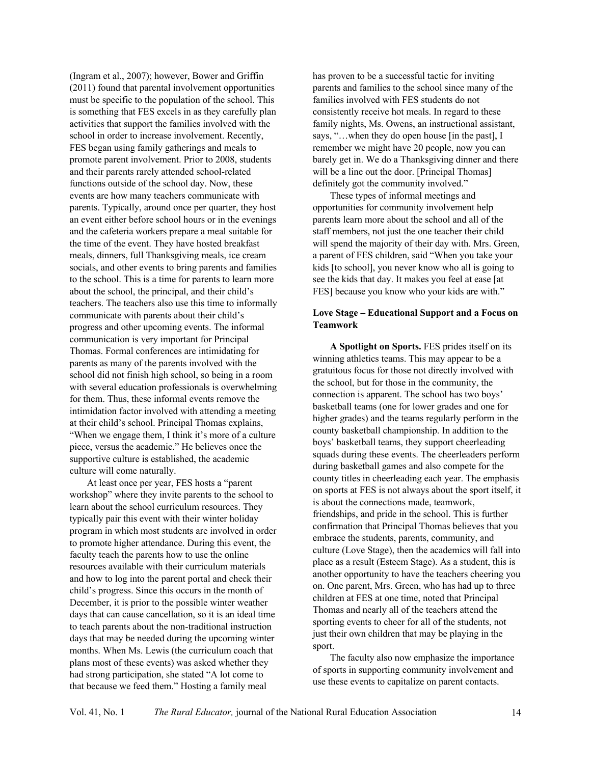(Ingram et al., 2007); however, Bower and Griffin (2011) found that parental involvement opportunities must be specific to the population of the school. This is something that FES excels in as they carefully plan activities that support the families involved with the school in order to increase involvement. Recently, FES began using family gatherings and meals to promote parent involvement. Prior to 2008, students and their parents rarely attended school-related functions outside of the school day. Now, these events are how many teachers communicate with parents. Typically, around once per quarter, they host an event either before school hours or in the evenings and the cafeteria workers prepare a meal suitable for the time of the event. They have hosted breakfast meals, dinners, full Thanksgiving meals, ice cream socials, and other events to bring parents and families to the school. This is a time for parents to learn more about the school, the principal, and their child's teachers. The teachers also use this time to informally communicate with parents about their child's progress and other upcoming events. The informal communication is very important for Principal Thomas. Formal conferences are intimidating for parents as many of the parents involved with the school did not finish high school, so being in a room with several education professionals is overwhelming for them. Thus, these informal events remove the intimidation factor involved with attending a meeting at their child's school. Principal Thomas explains, "When we engage them, I think it's more of a culture piece, versus the academic." He believes once the supportive culture is established, the academic culture will come naturally.

At least once per year, FES hosts a "parent workshop" where they invite parents to the school to learn about the school curriculum resources. They typically pair this event with their winter holiday program in which most students are involved in order to promote higher attendance. During this event, the faculty teach the parents how to use the online resources available with their curriculum materials and how to log into the parent portal and check their child's progress. Since this occurs in the month of December, it is prior to the possible winter weather days that can cause cancellation, so it is an ideal time to teach parents about the non-traditional instruction days that may be needed during the upcoming winter months. When Ms. Lewis (the curriculum coach that plans most of these events) was asked whether they had strong participation, she stated "A lot come to that because we feed them." Hosting a family meal

has proven to be a successful tactic for inviting parents and families to the school since many of the families involved with FES students do not consistently receive hot meals. In regard to these family nights, Ms. Owens, an instructional assistant, says, "…when they do open house [in the past], I remember we might have 20 people, now you can barely get in. We do a Thanksgiving dinner and there will be a line out the door. [Principal Thomas] definitely got the community involved."

These types of informal meetings and opportunities for community involvement help parents learn more about the school and all of the staff members, not just the one teacher their child will spend the majority of their day with. Mrs. Green, a parent of FES children, said "When you take your kids [to school], you never know who all is going to see the kids that day. It makes you feel at ease [at FES] because you know who your kids are with."

### **Love Stage – Educational Support and a Focus on Teamwork**

**A Spotlight on Sports.** FES prides itself on its winning athletics teams. This may appear to be a gratuitous focus for those not directly involved with the school, but for those in the community, the connection is apparent. The school has two boys' basketball teams (one for lower grades and one for higher grades) and the teams regularly perform in the county basketball championship. In addition to the boys' basketball teams, they support cheerleading squads during these events. The cheerleaders perform during basketball games and also compete for the county titles in cheerleading each year. The emphasis on sports at FES is not always about the sport itself, it is about the connections made, teamwork, friendships, and pride in the school. This is further confirmation that Principal Thomas believes that you embrace the students, parents, community, and culture (Love Stage), then the academics will fall into place as a result (Esteem Stage). As a student, this is another opportunity to have the teachers cheering you on. One parent, Mrs. Green, who has had up to three children at FES at one time, noted that Principal Thomas and nearly all of the teachers attend the sporting events to cheer for all of the students, not just their own children that may be playing in the sport.

The faculty also now emphasize the importance of sports in supporting community involvement and use these events to capitalize on parent contacts.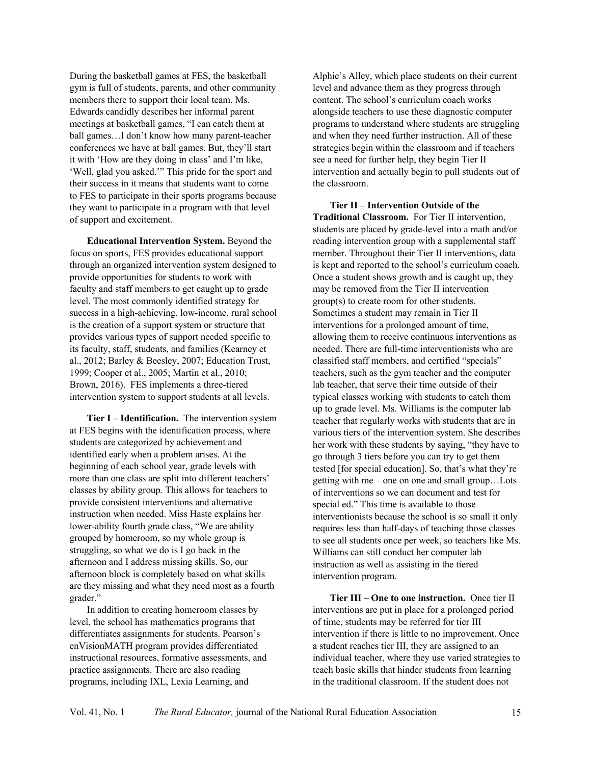During the basketball games at FES, the basketball gym is full of students, parents, and other community members there to support their local team. Ms. Edwards candidly describes her informal parent meetings at basketball games, "I can catch them at ball games…I don't know how many parent-teacher conferences we have at ball games. But, they'll start it with 'How are they doing in class' and I'm like, 'Well, glad you asked.'" This pride for the sport and their success in it means that students want to come to FES to participate in their sports programs because they want to participate in a program with that level of support and excitement.

**Educational Intervention System.** Beyond the focus on sports, FES provides educational support through an organized intervention system designed to provide opportunities for students to work with faculty and staff members to get caught up to grade level. The most commonly identified strategy for success in a high-achieving, low-income, rural school is the creation of a support system or structure that provides various types of support needed specific to its faculty, staff, students, and families (Kearney et al., 2012; Barley & Beesley, 2007; Education Trust, 1999; Cooper et al., 2005; Martin et al., 2010; Brown, 2016). FES implements a three-tiered intervention system to support students at all levels.

**Tier I – Identification.** The intervention system at FES begins with the identification process, where students are categorized by achievement and identified early when a problem arises. At the beginning of each school year, grade levels with more than one class are split into different teachers' classes by ability group. This allows for teachers to provide consistent interventions and alternative instruction when needed. Miss Haste explains her lower-ability fourth grade class, "We are ability grouped by homeroom, so my whole group is struggling, so what we do is I go back in the afternoon and I address missing skills. So, our afternoon block is completely based on what skills are they missing and what they need most as a fourth grader."

In addition to creating homeroom classes by level, the school has mathematics programs that differentiates assignments for students. Pearson's enVisionMATH program provides differentiated instructional resources, formative assessments, and practice assignments. There are also reading programs, including IXL, Lexia Learning, and

Alphie's Alley, which place students on their current level and advance them as they progress through content. The school's curriculum coach works alongside teachers to use these diagnostic computer programs to understand where students are struggling and when they need further instruction. All of these strategies begin within the classroom and if teachers see a need for further help, they begin Tier II intervention and actually begin to pull students out of the classroom.

**Tier II – Intervention Outside of the Traditional Classroom.** For Tier II intervention, students are placed by grade-level into a math and/or reading intervention group with a supplemental staff member. Throughout their Tier II interventions, data is kept and reported to the school's curriculum coach. Once a student shows growth and is caught up, they may be removed from the Tier II intervention group(s) to create room for other students. Sometimes a student may remain in Tier II interventions for a prolonged amount of time, allowing them to receive continuous interventions as needed. There are full-time interventionists who are classified staff members, and certified "specials" teachers, such as the gym teacher and the computer lab teacher, that serve their time outside of their typical classes working with students to catch them up to grade level. Ms. Williams is the computer lab teacher that regularly works with students that are in various tiers of the intervention system. She describes her work with these students by saying, "they have to go through 3 tiers before you can try to get them tested [for special education]. So, that's what they're getting with me – one on one and small group…Lots of interventions so we can document and test for special ed." This time is available to those interventionists because the school is so small it only requires less than half-days of teaching those classes to see all students once per week, so teachers like Ms. Williams can still conduct her computer lab instruction as well as assisting in the tiered intervention program.

**Tier III – One to one instruction.** Once tier II interventions are put in place for a prolonged period of time, students may be referred for tier III intervention if there is little to no improvement. Once a student reaches tier III, they are assigned to an individual teacher, where they use varied strategies to teach basic skills that hinder students from learning in the traditional classroom. If the student does not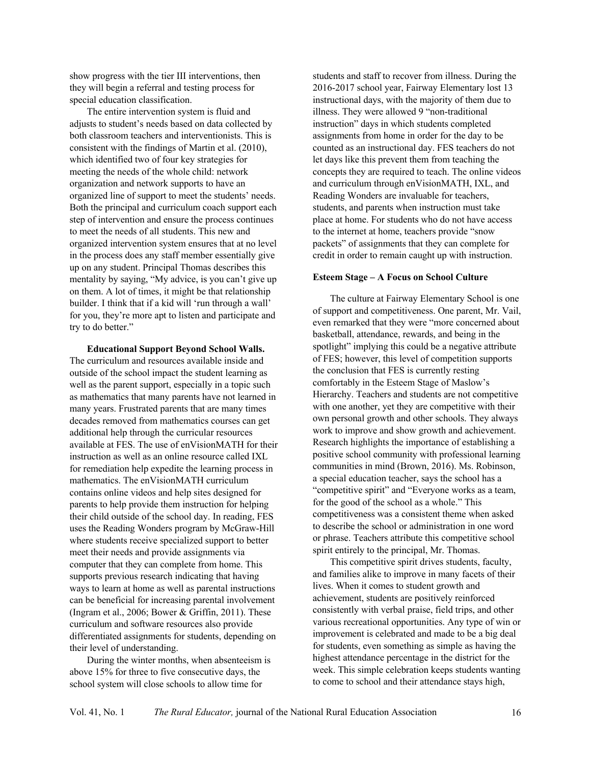show progress with the tier III interventions, then they will begin a referral and testing process for special education classification.

The entire intervention system is fluid and adjusts to student's needs based on data collected by both classroom teachers and interventionists. This is consistent with the findings of Martin et al. (2010), which identified two of four key strategies for meeting the needs of the whole child: network organization and network supports to have an organized line of support to meet the students' needs. Both the principal and curriculum coach support each step of intervention and ensure the process continues to meet the needs of all students. This new and organized intervention system ensures that at no level in the process does any staff member essentially give up on any student. Principal Thomas describes this mentality by saying, "My advice, is you can't give up on them. A lot of times, it might be that relationship builder. I think that if a kid will 'run through a wall' for you, they're more apt to listen and participate and try to do better."

**Educational Support Beyond School Walls.**  The curriculum and resources available inside and outside of the school impact the student learning as well as the parent support, especially in a topic such as mathematics that many parents have not learned in many years. Frustrated parents that are many times decades removed from mathematics courses can get additional help through the curricular resources available at FES. The use of enVisionMATH for their instruction as well as an online resource called IXL for remediation help expedite the learning process in mathematics. The enVisionMATH curriculum contains online videos and help sites designed for parents to help provide them instruction for helping their child outside of the school day. In reading, FES uses the Reading Wonders program by McGraw-Hill where students receive specialized support to better meet their needs and provide assignments via computer that they can complete from home. This supports previous research indicating that having ways to learn at home as well as parental instructions can be beneficial for increasing parental involvement (Ingram et al., 2006; Bower & Griffin, 2011). These curriculum and software resources also provide differentiated assignments for students, depending on their level of understanding.

During the winter months, when absenteeism is above 15% for three to five consecutive days, the school system will close schools to allow time for

students and staff to recover from illness. During the 2016-2017 school year, Fairway Elementary lost 13 instructional days, with the majority of them due to illness. They were allowed 9 "non-traditional instruction" days in which students completed assignments from home in order for the day to be counted as an instructional day. FES teachers do not let days like this prevent them from teaching the concepts they are required to teach. The online videos and curriculum through enVisionMATH, IXL, and Reading Wonders are invaluable for teachers, students, and parents when instruction must take place at home. For students who do not have access to the internet at home, teachers provide "snow packets" of assignments that they can complete for credit in order to remain caught up with instruction.

#### **Esteem Stage – A Focus on School Culture**

The culture at Fairway Elementary School is one of support and competitiveness. One parent, Mr. Vail, even remarked that they were "more concerned about basketball, attendance, rewards, and being in the spotlight" implying this could be a negative attribute of FES; however, this level of competition supports the conclusion that FES is currently resting comfortably in the Esteem Stage of Maslow's Hierarchy. Teachers and students are not competitive with one another, yet they are competitive with their own personal growth and other schools. They always work to improve and show growth and achievement. Research highlights the importance of establishing a positive school community with professional learning communities in mind (Brown, 2016). Ms. Robinson, a special education teacher, says the school has a "competitive spirit" and "Everyone works as a team, for the good of the school as a whole." This competitiveness was a consistent theme when asked to describe the school or administration in one word or phrase. Teachers attribute this competitive school spirit entirely to the principal, Mr. Thomas.

This competitive spirit drives students, faculty, and families alike to improve in many facets of their lives. When it comes to student growth and achievement, students are positively reinforced consistently with verbal praise, field trips, and other various recreational opportunities. Any type of win or improvement is celebrated and made to be a big deal for students, even something as simple as having the highest attendance percentage in the district for the week. This simple celebration keeps students wanting to come to school and their attendance stays high,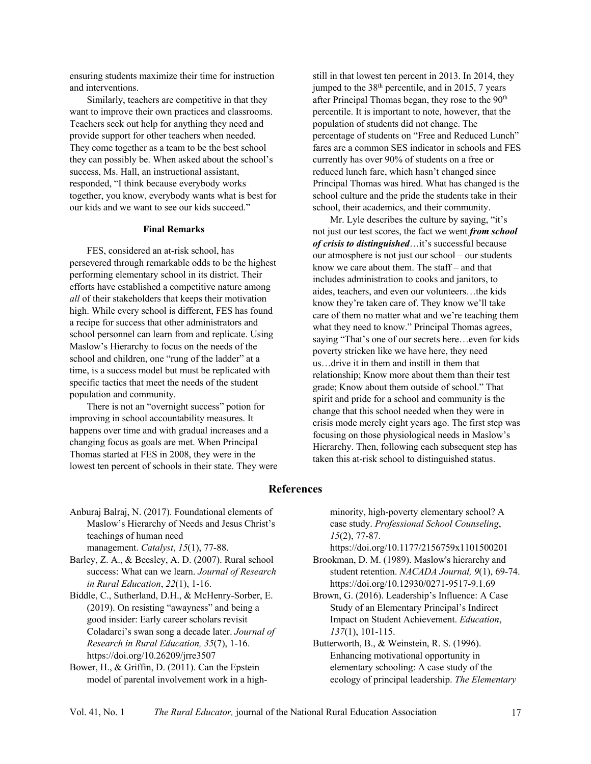ensuring students maximize their time for instruction and interventions.

Similarly, teachers are competitive in that they want to improve their own practices and classrooms. Teachers seek out help for anything they need and provide support for other teachers when needed. They come together as a team to be the best school they can possibly be. When asked about the school's success, Ms. Hall, an instructional assistant, responded, "I think because everybody works together, you know, everybody wants what is best for our kids and we want to see our kids succeed."

#### **Final Remarks**

FES, considered an at-risk school, has persevered through remarkable odds to be the highest performing elementary school in its district. Their efforts have established a competitive nature among *all* of their stakeholders that keeps their motivation high. While every school is different, FES has found a recipe for success that other administrators and school personnel can learn from and replicate. Using Maslow's Hierarchy to focus on the needs of the school and children, one "rung of the ladder" at a time, is a success model but must be replicated with specific tactics that meet the needs of the student population and community.

There is not an "overnight success" potion for improving in school accountability measures. It happens over time and with gradual increases and a changing focus as goals are met. When Principal Thomas started at FES in 2008, they were in the lowest ten percent of schools in their state. They were still in that lowest ten percent in 2013. In 2014, they jumped to the  $38<sup>th</sup>$  percentile, and in 2015, 7 years after Principal Thomas began, they rose to the 90<sup>th</sup> percentile. It is important to note, however, that the population of students did not change. The percentage of students on "Free and Reduced Lunch" fares are a common SES indicator in schools and FES currently has over 90% of students on a free or reduced lunch fare, which hasn't changed since Principal Thomas was hired. What has changed is the school culture and the pride the students take in their school, their academics, and their community.

Mr. Lyle describes the culture by saying, "it's not just our test scores, the fact we went *from school of crisis to distinguished*…it's successful because our atmosphere is not just our school – our students know we care about them. The staff – and that includes administration to cooks and janitors, to aides, teachers, and even our volunteers…the kids know they're taken care of. They know we'll take care of them no matter what and we're teaching them what they need to know." Principal Thomas agrees, saying "That's one of our secrets here…even for kids poverty stricken like we have here, they need us…drive it in them and instill in them that relationship; Know more about them than their test grade; Know about them outside of school." That spirit and pride for a school and community is the change that this school needed when they were in crisis mode merely eight years ago. The first step was focusing on those physiological needs in Maslow's Hierarchy. Then, following each subsequent step has taken this at-risk school to distinguished status.

## **References**

- Anburaj Balraj, N. (2017). Foundational elements of Maslow's Hierarchy of Needs and Jesus Christ's teachings of human need management. *Catalyst*, *15*(1), 77-88.
- Barley, Z. A., & Beesley, A. D. (2007). Rural school success: What can we learn. *Journal of Research in Rural Education*, *22*(1), 1-16.

Biddle, C., Sutherland, D.H., & McHenry-Sorber, E. (2019). On resisting "awayness" and being a good insider: Early career scholars revisit Coladarci's swan song a decade later. *Journal of Research in Rural Education, 35*(7), 1-16. https://doi.org/10.26209/jrre3507

Bower, H., & Griffin, D. (2011). Can the Epstein model of parental involvement work in a highminority, high-poverty elementary school? A case study. *Professional School Counseling*, *15*(2), 77-87.

https://doi.org/10.1177/2156759x1101500201

- Brookman, D. M. (1989). Maslow's hierarchy and student retention. *NACADA Journal, 9*(1), 69-74. https://doi.org/10.12930/0271-9517-9.1.69
- Brown, G. (2016). Leadership's Influence: A Case Study of an Elementary Principal's Indirect Impact on Student Achievement. *Education*, *137*(1), 101-115.

Butterworth, B., & Weinstein, R. S. (1996). Enhancing motivational opportunity in elementary schooling: A case study of the ecology of principal leadership. *The Elementary*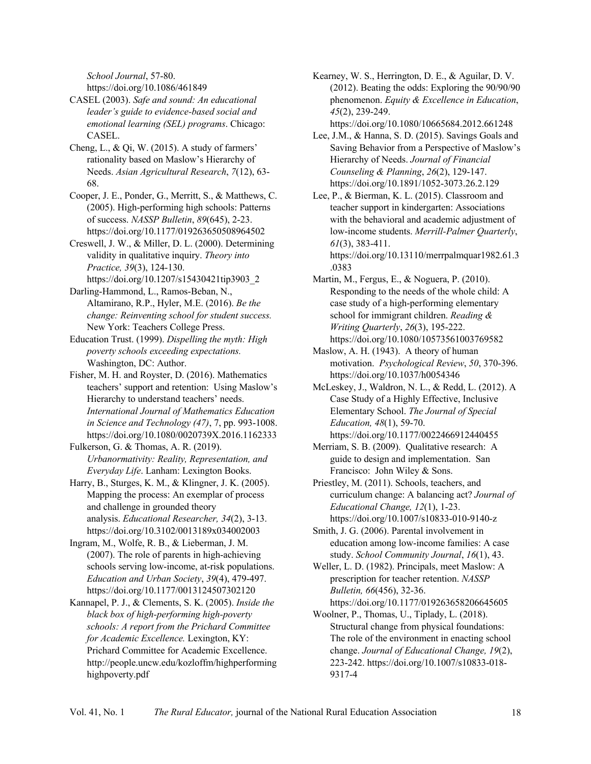*School Journal*, 57-80.

https://doi.org/10.1086/461849

CASEL (2003). *Safe and sound: An educational leader's guide to evidence-based social and emotional learning (SEL) programs*. Chicago: CASEL.

Cheng, L., & Qi, W. (2015). A study of farmers' rationality based on Maslow's Hierarchy of Needs. *Asian Agricultural Research*, *7*(12), 63- 68.

Cooper, J. E., Ponder, G., Merritt, S., & Matthews, C. (2005). High-performing high schools: Patterns of success. *NASSP Bulletin*, *89*(645), 2-23. https://doi.org/10.1177/019263650508964502

Creswell, J. W., & Miller, D. L. (2000). Determining validity in qualitative inquiry. *Theory into Practice, 39*(3), 124-130. https://doi.org/10.1207/s15430421tip3903\_2

Darling-Hammond, L., Ramos-Beban, N., Altamirano, R.P., Hyler, M.E. (2016). *Be the change: Reinventing school for student success.* New York: Teachers College Press.

Education Trust. (1999). *Dispelling the myth: High poverty schools exceeding expectations.*  Washington, DC: Author.

Fisher, M. H. and Royster, D. (2016). Mathematics teachers' support and retention: Using Maslow's Hierarchy to understand teachers' needs. *International Journal of Mathematics Education in Science and Technology (47)*, 7, pp. 993-1008. https://doi.org/10.1080/0020739X.2016.1162333

Fulkerson, G. & Thomas, A. R. (2019). *Urbanormativity: Reality, Representation, and Everyday Life*. Lanham: Lexington Books.

Harry, B., Sturges, K. M., & Klingner, J. K. (2005). Mapping the process: An exemplar of process and challenge in grounded theory analysis. *Educational Researcher, 34*(2), 3-13. https://doi.org/10.3102/0013189x034002003

Ingram, M., Wolfe, R. B., & Lieberman, J. M. (2007). The role of parents in high-achieving schools serving low-income, at-risk populations. *Education and Urban Society*, *39*(4), 479-497. https://doi.org/10.1177/0013124507302120

Kannapel, P. J., & Clements, S. K. (2005). *Inside the black box of high-performing high-poverty schools: A report from the Prichard Committee for Academic Excellence.* Lexington, KY: Prichard Committee for Academic Excellence. http://people.uncw.edu/kozloffm/highperforming highpoverty.pdf

Kearney, W. S., Herrington, D. E., & Aguilar, D. V. (2012). Beating the odds: Exploring the 90/90/90 phenomenon. *Equity & Excellence in Education*, *45*(2), 239-249.

https://doi.org/10.1080/10665684.2012.661248

Lee, J.M., & Hanna, S. D. (2015). Savings Goals and Saving Behavior from a Perspective of Maslow's Hierarchy of Needs. *Journal of Financial Counseling & Planning*, *26*(2), 129-147. https://doi.org/10.1891/1052-3073.26.2.129

Lee, P., & Bierman, K. L. (2015). Classroom and teacher support in kindergarten: Associations with the behavioral and academic adjustment of low-income students. *Merrill-Palmer Quarterly*, *61*(3), 383-411. https://doi.org/10.13110/merrpalmquar1982.61.3

.0383 Martin, M., Fergus, E., & Noguera, P. (2010). Responding to the needs of the whole child: A case study of a high-performing elementary school for immigrant children. *Reading & Writing Quarterly*, *26*(3), 195-222. https://doi.org/10.1080/10573561003769582

Maslow, A. H. (1943). A theory of human motivation. *Psychological Review*, *50*, 370-396. https://doi.org/10.1037/h0054346

McLeskey, J., Waldron, N. L., & Redd, L. (2012). A Case Study of a Highly Effective, Inclusive Elementary School. *The Journal of Special Education, 48*(1), 59-70. https://doi.org/10.1177/0022466912440455

Merriam, S. B. (2009). Qualitative research: A guide to design and implementation. San Francisco: John Wiley & Sons.

Priestley, M. (2011). Schools, teachers, and curriculum change: A balancing act? *Journal of Educational Change, 12*(1), 1-23. https://doi.org/10.1007/s10833-010-9140-z

Smith, J. G. (2006). Parental involvement in education among low-income families: A case study. *School Community Journal*, *16*(1), 43.

Weller, L. D. (1982). Principals, meet Maslow: A prescription for teacher retention. *NASSP Bulletin, 66*(456), 32-36. https://doi.org/10.1177/019263658206645605

Woolner, P., Thomas, U., Tiplady, L. (2018). Structural change from physical foundations: The role of the environment in enacting school change. *Journal of Educational Change, 19*(2), 223-242. https://doi.org/10.1007/s10833-018- 9317-4